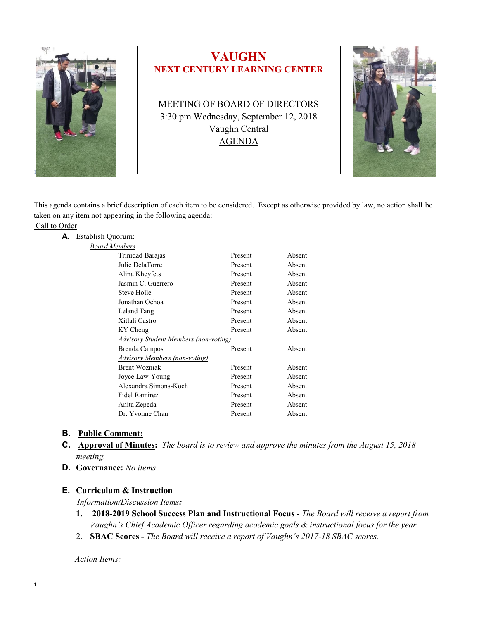

# **VAUGHN NEXT CENTURY LEARNING CENTER**

MEETING OF BOARD OF DIRECTORS 3:30 pm Wednesday, September 12, 2018 Vaughn Central AGENDA



This agenda contains a brief description of each item to be considered. Except as otherwise provided by law, no action shall be taken on any item not appearing in the following agenda:

|  | Call to Order |
|--|---------------|
|  |               |

| А. | <b>Establish Quorum:</b>              |                                      |         |        |  |
|----|---------------------------------------|--------------------------------------|---------|--------|--|
|    | <b>Board Members</b>                  |                                      |         |        |  |
|    |                                       | Trinidad Barajas                     | Present | Absent |  |
|    |                                       | Julie DelaTorre                      | Present | Absent |  |
|    |                                       | Alina Kheyfets                       | Present | Absent |  |
|    |                                       | Jasmin C. Guerrero                   | Present | Absent |  |
|    |                                       | Steve Holle                          | Present | Absent |  |
|    |                                       | Jonathan Ochoa                       | Present | Absent |  |
|    |                                       | Leland Tang                          | Present | Absent |  |
|    |                                       | Xitlali Castro                       | Present | Absent |  |
|    |                                       | KY Cheng                             | Present | Absent |  |
|    | Advisory Student Members (non-voting) |                                      |         |        |  |
|    |                                       | Brenda Campos                        | Present | Absent |  |
|    |                                       | <b>Advisory Members (non-voting)</b> |         |        |  |
|    |                                       | <b>Brent Wozniak</b>                 | Present | Absent |  |
|    |                                       | Joyce Law-Young                      | Present | Absent |  |
|    |                                       | Alexandra Simons-Koch                | Present | Absent |  |
|    |                                       | Fidel Ramirez                        | Present | Absent |  |
|    |                                       | Anita Zepeda                         | Present | Absent |  |
|    |                                       | Dr. Yvonne Chan                      | Present | Absent |  |
|    |                                       |                                      |         |        |  |

## **B. Public Comment:**

- **C. Approval of Minutes:** *The board is to review and approve the minutes from the August 15, 2018 meeting.*
- **D. Governance:** *No items*

## **E. Curriculum & Instruction**

*Information/Discussion Items:*

- **1. 2018-2019 School Success Plan and Instructional Focus -** *The Board will receive a report from Vaughn's Chief Academic Officer regarding academic goals & instructional focus for the year.*
- 2. **SBAC Scores** *- The Board will receive a report of Vaughn's 2017-18 SBAC scores.*

*Action Items:*